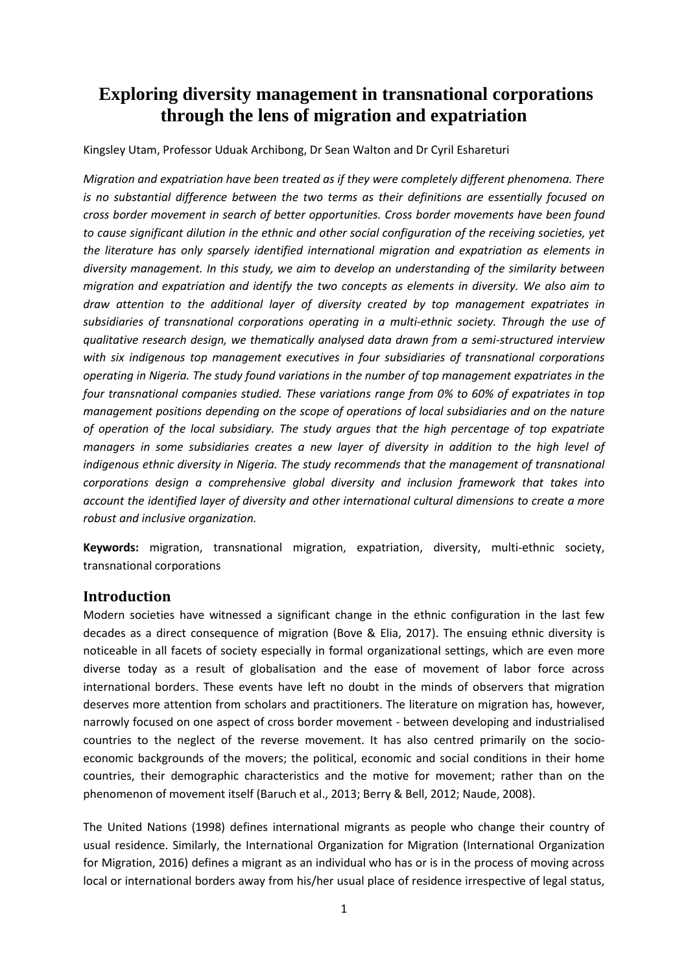# **Exploring diversity management in transnational corporations through the lens of migration and expatriation**

Kingsley Utam, Professor Uduak Archibong, Dr Sean Walton and Dr Cyril Eshareturi

*Migration and expatriation have been treated as if they were completely different phenomena. There is no substantial difference between the two terms as their definitions are essentially focused on cross border movement in search of better opportunities. Cross border movements have been found to cause significant dilution in the ethnic and other social configuration of the receiving societies, yet the literature has only sparsely identified international migration and expatriation as elements in diversity management. In this study, we aim to develop an understanding of the similarity between migration and expatriation and identify the two concepts as elements in diversity. We also aim to draw attention to the additional layer of diversity created by top management expatriates in subsidiaries of transnational corporations operating in a multi-ethnic society. Through the use of qualitative research design, we thematically analysed data drawn from a semi-structured interview with six indigenous top management executives in four subsidiaries of transnational corporations operating in Nigeria. The study found variations in the number of top management expatriates in the four transnational companies studied. These variations range from 0% to 60% of expatriates in top management positions depending on the scope of operations of local subsidiaries and on the nature of operation of the local subsidiary. The study argues that the high percentage of top expatriate managers in some subsidiaries creates a new layer of diversity in addition to the high level of indigenous ethnic diversity in Nigeria. The study recommends that the management of transnational corporations design a comprehensive global diversity and inclusion framework that takes into account the identified layer of diversity and other international cultural dimensions to create a more robust and inclusive organization.*

**Keywords:** migration, transnational migration, expatriation, diversity, multi-ethnic society, transnational corporations

### **Introduction**

Modern societies have witnessed a significant change in the ethnic configuration in the last few decades as a direct consequence of migration (Bove & Elia, 2017). The ensuing ethnic diversity is noticeable in all facets of society especially in formal organizational settings, which are even more diverse today as a result of globalisation and the ease of movement of labor force across international borders. These events have left no doubt in the minds of observers that migration deserves more attention from scholars and practitioners. The literature on migration has, however, narrowly focused on one aspect of cross border movement - between developing and industrialised countries to the neglect of the reverse movement. It has also centred primarily on the socioeconomic backgrounds of the movers; the political, economic and social conditions in their home countries, their demographic characteristics and the motive for movement; rather than on the phenomenon of movement itself (Baruch et al., 2013; Berry & Bell, 2012; Naude, 2008).

The United Nations (1998) defines international migrants as people who change their country of usual residence. Similarly, the International Organization for Migration (International Organization for Migration, 2016) defines a migrant as an individual who has or is in the process of moving across local or international borders away from his/her usual place of residence irrespective of legal status,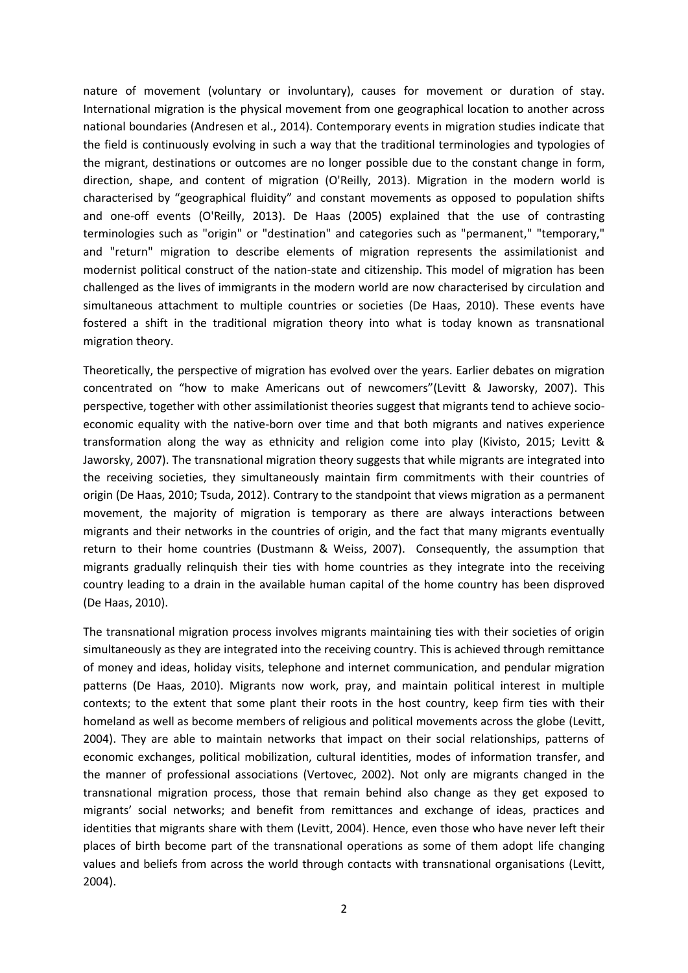nature of movement (voluntary or involuntary), causes for movement or duration of stay. International migration is the physical movement from one geographical location to another across national boundaries (Andresen et al., 2014). Contemporary events in migration studies indicate that the field is continuously evolving in such a way that the traditional terminologies and typologies of the migrant, destinations or outcomes are no longer possible due to the constant change in form, direction, shape, and content of migration (O'Reilly, 2013). Migration in the modern world is characterised by "geographical fluidity" and constant movements as opposed to population shifts and one-off events (O'Reilly, 2013). De Haas (2005) explained that the use of contrasting terminologies such as "origin" or "destination" and categories such as "permanent," "temporary," and "return" migration to describe elements of migration represents the assimilationist and modernist political construct of the nation-state and citizenship. This model of migration has been challenged as the lives of immigrants in the modern world are now characterised by circulation and simultaneous attachment to multiple countries or societies (De Haas, 2010). These events have fostered a shift in the traditional migration theory into what is today known as transnational migration theory.

Theoretically, the perspective of migration has evolved over the years. Earlier debates on migration concentrated on "how to make Americans out of newcomers"(Levitt & Jaworsky, 2007). This perspective, together with other assimilationist theories suggest that migrants tend to achieve socioeconomic equality with the native-born over time and that both migrants and natives experience transformation along the way as ethnicity and religion come into play (Kivisto, 2015; Levitt & Jaworsky, 2007). The transnational migration theory suggests that while migrants are integrated into the receiving societies, they simultaneously maintain firm commitments with their countries of origin (De Haas, 2010; Tsuda, 2012). Contrary to the standpoint that views migration as a permanent movement, the majority of migration is temporary as there are always interactions between migrants and their networks in the countries of origin, and the fact that many migrants eventually return to their home countries (Dustmann & Weiss, 2007). Consequently, the assumption that migrants gradually relinquish their ties with home countries as they integrate into the receiving country leading to a drain in the available human capital of the home country has been disproved (De Haas, 2010).

The transnational migration process involves migrants maintaining ties with their societies of origin simultaneously as they are integrated into the receiving country. This is achieved through remittance of money and ideas, holiday visits, telephone and internet communication, and pendular migration patterns (De Haas, 2010). Migrants now work, pray, and maintain political interest in multiple contexts; to the extent that some plant their roots in the host country, keep firm ties with their homeland as well as become members of religious and political movements across the globe (Levitt, 2004). They are able to maintain networks that impact on their social relationships, patterns of economic exchanges, political mobilization, cultural identities, modes of information transfer, and the manner of professional associations (Vertovec, 2002). Not only are migrants changed in the transnational migration process, those that remain behind also change as they get exposed to migrants' social networks; and benefit from remittances and exchange of ideas, practices and identities that migrants share with them (Levitt, 2004). Hence, even those who have never left their places of birth become part of the transnational operations as some of them adopt life changing values and beliefs from across the world through contacts with transnational organisations (Levitt, 2004).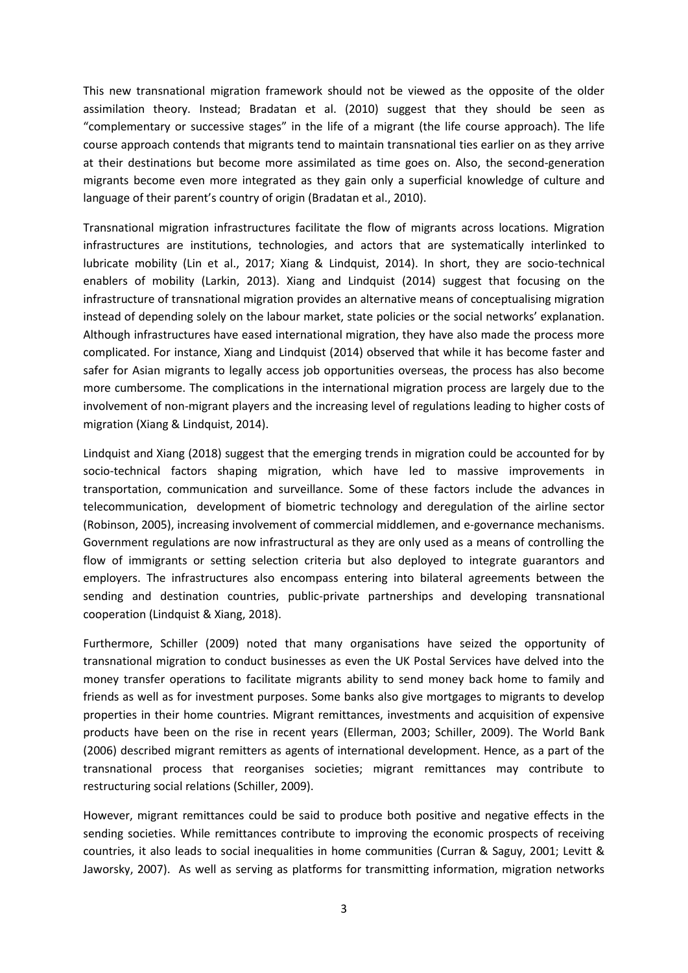This new transnational migration framework should not be viewed as the opposite of the older assimilation theory. Instead; Bradatan et al. (2010) suggest that they should be seen as "complementary or successive stages" in the life of a migrant (the life course approach). The life course approach contends that migrants tend to maintain transnational ties earlier on as they arrive at their destinations but become more assimilated as time goes on. Also, the second-generation migrants become even more integrated as they gain only a superficial knowledge of culture and language of their parent's country of origin (Bradatan et al., 2010).

Transnational migration infrastructures facilitate the flow of migrants across locations. Migration infrastructures are institutions, technologies, and actors that are systematically interlinked to lubricate mobility (Lin et al., 2017; Xiang & Lindquist, 2014). In short, they are socio-technical enablers of mobility (Larkin, 2013). Xiang and Lindquist (2014) suggest that focusing on the infrastructure of transnational migration provides an alternative means of conceptualising migration instead of depending solely on the labour market, state policies or the social networks' explanation. Although infrastructures have eased international migration, they have also made the process more complicated. For instance, Xiang and Lindquist (2014) observed that while it has become faster and safer for Asian migrants to legally access job opportunities overseas, the process has also become more cumbersome. The complications in the international migration process are largely due to the involvement of non-migrant players and the increasing level of regulations leading to higher costs of migration (Xiang & Lindquist, 2014).

Lindquist and Xiang (2018) suggest that the emerging trends in migration could be accounted for by socio-technical factors shaping migration, which have led to massive improvements in transportation, communication and surveillance. Some of these factors include the advances in telecommunication, development of biometric technology and deregulation of the airline sector (Robinson, 2005), increasing involvement of commercial middlemen, and e-governance mechanisms. Government regulations are now infrastructural as they are only used as a means of controlling the flow of immigrants or setting selection criteria but also deployed to integrate guarantors and employers. The infrastructures also encompass entering into bilateral agreements between the sending and destination countries, public-private partnerships and developing transnational cooperation (Lindquist & Xiang, 2018).

Furthermore, Schiller (2009) noted that many organisations have seized the opportunity of transnational migration to conduct businesses as even the UK Postal Services have delved into the money transfer operations to facilitate migrants ability to send money back home to family and friends as well as for investment purposes. Some banks also give mortgages to migrants to develop properties in their home countries. Migrant remittances, investments and acquisition of expensive products have been on the rise in recent years (Ellerman, 2003; Schiller, 2009). The World Bank (2006) described migrant remitters as agents of international development. Hence, as a part of the transnational process that reorganises societies; migrant remittances may contribute to restructuring social relations (Schiller, 2009).

However, migrant remittances could be said to produce both positive and negative effects in the sending societies. While remittances contribute to improving the economic prospects of receiving countries, it also leads to social inequalities in home communities (Curran & Saguy, 2001; Levitt & Jaworsky, 2007). As well as serving as platforms for transmitting information, migration networks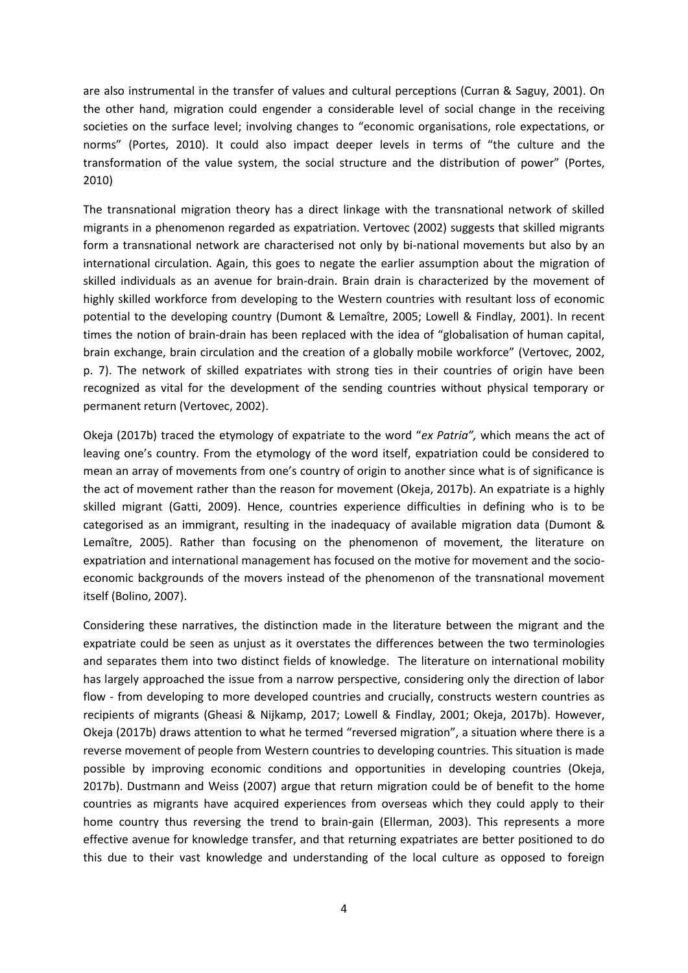are also instrumental in the transfer of values and cultural perceptions (Curran & Saguy, 2001). On the other hand, migration could engender a considerable level of social change in the receiving societies on the surface level; involving changes to "economic organisations, role expectations, or norms" (Portes, 2010). It could also impact deeper levels in terms of "the culture and the transformation of the value system, the social structure and the distribution of power" (Portes, 2010)

The transnational migration theory has a direct linkage with the transnational network of skilled migrants in a phenomenon regarded as expatriation. Vertovec (2002) suggests that skilled migrants form a transnational network are characterised not only by bi-national movements but also by an international circulation. Again, this goes to negate the earlier assumption about the migration of skilled individuals as an avenue for brain-drain. Brain drain is characterized by the movement of highly skilled workforce from developing to the Western countries with resultant loss of economic potential to the developing country (Dumont & Lemaître, 2005; Lowell & Findlay, 2001). In recent times the notion of brain-drain has been replaced with the idea of "globalisation of human capital, brain exchange, brain circulation and the creation of a globally mobile workforce" (Vertovec, 2002, p. 7). The network of skilled expatriates with strong ties in their countries of origin have been recognized as vital for the development of the sending countries without physical temporary or permanent return (Vertovec, 2002).

Okeja (2017b) traced the etymology of expatriate to the word "*ex Patria",* which means the act of leaving one's country. From the etymology of the word itself, expatriation could be considered to mean an array of movements from one's country of origin to another since what is of significance is the act of movement rather than the reason for movement (Okeja, 2017b). An expatriate is a highly skilled migrant (Gatti, 2009). Hence, countries experience difficulties in defining who is to be categorised as an immigrant, resulting in the inadequacy of available migration data (Dumont & Lemaître, 2005). Rather than focusing on the phenomenon of movement, the literature on expatriation and international management has focused on the motive for movement and the socioeconomic backgrounds of the movers instead of the phenomenon of the transnational movement itself (Bolino, 2007).

Considering these narratives, the distinction made in the literature between the migrant and the expatriate could be seen as unjust as it overstates the differences between the two terminologies and separates them into two distinct fields of knowledge. The literature on international mobility has largely approached the issue from a narrow perspective, considering only the direction of labor flow - from developing to more developed countries and crucially, constructs western countries as recipients of migrants (Gheasi & Nijkamp, 2017; Lowell & Findlay, 2001; Okeja, 2017b). However, Okeja (2017b) draws attention to what he termed "reversed migration", a situation where there is a reverse movement of people from Western countries to developing countries. This situation is made possible by improving economic conditions and opportunities in developing countries (Okeja, 2017b). Dustmann and Weiss (2007) argue that return migration could be of benefit to the home countries as migrants have acquired experiences from overseas which they could apply to their home country thus reversing the trend to brain-gain (Ellerman, 2003). This represents a more effective avenue for knowledge transfer, and that returning expatriates are better positioned to do this due to their vast knowledge and understanding of the local culture as opposed to foreign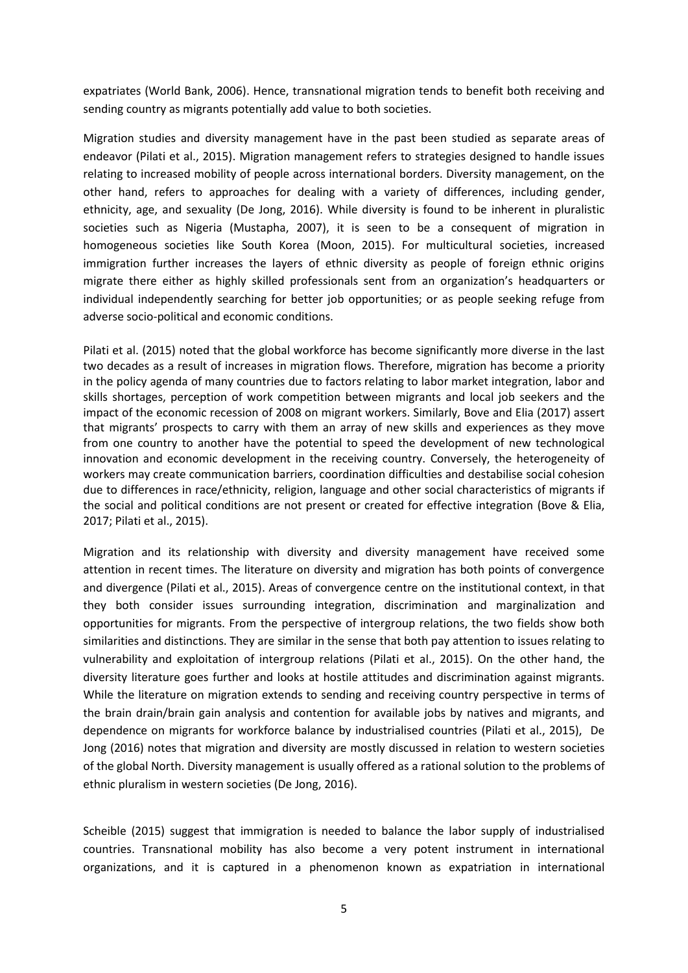expatriates (World Bank, 2006). Hence, transnational migration tends to benefit both receiving and sending country as migrants potentially add value to both societies.

Migration studies and diversity management have in the past been studied as separate areas of endeavor (Pilati et al., 2015). Migration management refers to strategies designed to handle issues relating to increased mobility of people across international borders. Diversity management, on the other hand, refers to approaches for dealing with a variety of differences, including gender, ethnicity, age, and sexuality (De Jong, 2016). While diversity is found to be inherent in pluralistic societies such as Nigeria (Mustapha, 2007), it is seen to be a consequent of migration in homogeneous societies like South Korea (Moon, 2015). For multicultural societies, increased immigration further increases the layers of ethnic diversity as people of foreign ethnic origins migrate there either as highly skilled professionals sent from an organization's headquarters or individual independently searching for better job opportunities; or as people seeking refuge from adverse socio-political and economic conditions.

Pilati et al. (2015) noted that the global workforce has become significantly more diverse in the last two decades as a result of increases in migration flows. Therefore, migration has become a priority in the policy agenda of many countries due to factors relating to labor market integration, labor and skills shortages, perception of work competition between migrants and local job seekers and the impact of the economic recession of 2008 on migrant workers. Similarly, Bove and Elia (2017) assert that migrants' prospects to carry with them an array of new skills and experiences as they move from one country to another have the potential to speed the development of new technological innovation and economic development in the receiving country. Conversely, the heterogeneity of workers may create communication barriers, coordination difficulties and destabilise social cohesion due to differences in race/ethnicity, religion, language and other social characteristics of migrants if the social and political conditions are not present or created for effective integration (Bove & Elia, 2017; Pilati et al., 2015).

Migration and its relationship with diversity and diversity management have received some attention in recent times. The literature on diversity and migration has both points of convergence and divergence (Pilati et al., 2015). Areas of convergence centre on the institutional context, in that they both consider issues surrounding integration, discrimination and marginalization and opportunities for migrants. From the perspective of intergroup relations, the two fields show both similarities and distinctions. They are similar in the sense that both pay attention to issues relating to vulnerability and exploitation of intergroup relations (Pilati et al., 2015). On the other hand, the diversity literature goes further and looks at hostile attitudes and discrimination against migrants. While the literature on migration extends to sending and receiving country perspective in terms of the brain drain/brain gain analysis and contention for available jobs by natives and migrants, and dependence on migrants for workforce balance by industrialised countries (Pilati et al., 2015), De Jong (2016) notes that migration and diversity are mostly discussed in relation to western societies of the global North. Diversity management is usually offered as a rational solution to the problems of ethnic pluralism in western societies (De Jong, 2016).

Scheible (2015) suggest that immigration is needed to balance the labor supply of industrialised countries. Transnational mobility has also become a very potent instrument in international organizations, and it is captured in a phenomenon known as expatriation in international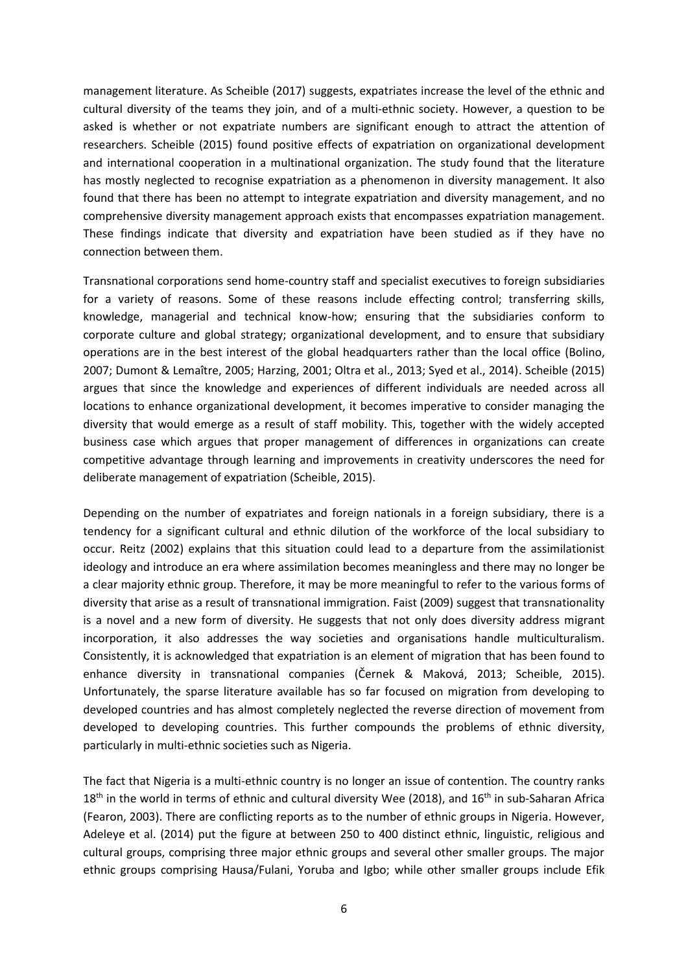management literature. As Scheible (2017) suggests, expatriates increase the level of the ethnic and cultural diversity of the teams they join, and of a multi-ethnic society. However, a question to be asked is whether or not expatriate numbers are significant enough to attract the attention of researchers. Scheible (2015) found positive effects of expatriation on organizational development and international cooperation in a multinational organization. The study found that the literature has mostly neglected to recognise expatriation as a phenomenon in diversity management. It also found that there has been no attempt to integrate expatriation and diversity management, and no comprehensive diversity management approach exists that encompasses expatriation management. These findings indicate that diversity and expatriation have been studied as if they have no connection between them.

Transnational corporations send home-country staff and specialist executives to foreign subsidiaries for a variety of reasons. Some of these reasons include effecting control; transferring skills, knowledge, managerial and technical know-how; ensuring that the subsidiaries conform to corporate culture and global strategy; organizational development, and to ensure that subsidiary operations are in the best interest of the global headquarters rather than the local office (Bolino, 2007; Dumont & Lemaître, 2005; Harzing, 2001; Oltra et al., 2013; Syed et al., 2014). Scheible (2015) argues that since the knowledge and experiences of different individuals are needed across all locations to enhance organizational development, it becomes imperative to consider managing the diversity that would emerge as a result of staff mobility. This, together with the widely accepted business case which argues that proper management of differences in organizations can create competitive advantage through learning and improvements in creativity underscores the need for deliberate management of expatriation (Scheible, 2015).

Depending on the number of expatriates and foreign nationals in a foreign subsidiary, there is a tendency for a significant cultural and ethnic dilution of the workforce of the local subsidiary to occur. Reitz (2002) explains that this situation could lead to a departure from the assimilationist ideology and introduce an era where assimilation becomes meaningless and there may no longer be a clear majority ethnic group. Therefore, it may be more meaningful to refer to the various forms of diversity that arise as a result of transnational immigration. Faist (2009) suggest that transnationality is a novel and a new form of diversity. He suggests that not only does diversity address migrant incorporation, it also addresses the way societies and organisations handle multiculturalism. Consistently, it is acknowledged that expatriation is an element of migration that has been found to enhance diversity in transnational companies (Černek & Maková, 2013; Scheible, 2015). Unfortunately, the sparse literature available has so far focused on migration from developing to developed countries and has almost completely neglected the reverse direction of movement from developed to developing countries. This further compounds the problems of ethnic diversity, particularly in multi-ethnic societies such as Nigeria.

The fact that Nigeria is a multi-ethnic country is no longer an issue of contention. The country ranks  $18<sup>th</sup>$  in the world in terms of ethnic and cultural diversity Wee (2018), and  $16<sup>th</sup>$  in sub-Saharan Africa (Fearon, 2003). There are conflicting reports as to the number of ethnic groups in Nigeria. However, Adeleye et al. (2014) put the figure at between 250 to 400 distinct ethnic, linguistic, religious and cultural groups, comprising three major ethnic groups and several other smaller groups. The major ethnic groups comprising Hausa/Fulani, Yoruba and Igbo; while other smaller groups include Efik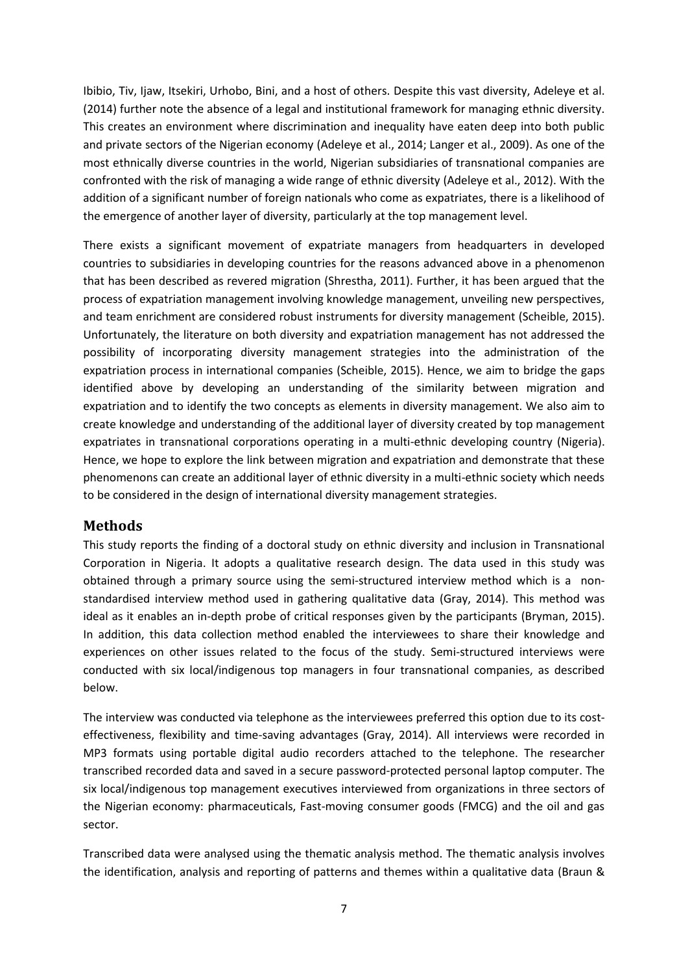Ibibio, Tiv, Ijaw, Itsekiri, Urhobo, Bini, and a host of others. Despite this vast diversity, Adeleye et al. (2014) further note the absence of a legal and institutional framework for managing ethnic diversity. This creates an environment where discrimination and inequality have eaten deep into both public and private sectors of the Nigerian economy (Adeleye et al., 2014; Langer et al., 2009). As one of the most ethnically diverse countries in the world, Nigerian subsidiaries of transnational companies are confronted with the risk of managing a wide range of ethnic diversity (Adeleye et al., 2012). With the addition of a significant number of foreign nationals who come as expatriates, there is a likelihood of the emergence of another layer of diversity, particularly at the top management level.

There exists a significant movement of expatriate managers from headquarters in developed countries to subsidiaries in developing countries for the reasons advanced above in a phenomenon that has been described as revered migration (Shrestha, 2011). Further, it has been argued that the process of expatriation management involving knowledge management, unveiling new perspectives, and team enrichment are considered robust instruments for diversity management (Scheible, 2015). Unfortunately, the literature on both diversity and expatriation management has not addressed the possibility of incorporating diversity management strategies into the administration of the expatriation process in international companies (Scheible, 2015). Hence, we aim to bridge the gaps identified above by developing an understanding of the similarity between migration and expatriation and to identify the two concepts as elements in diversity management. We also aim to create knowledge and understanding of the additional layer of diversity created by top management expatriates in transnational corporations operating in a multi-ethnic developing country (Nigeria). Hence, we hope to explore the link between migration and expatriation and demonstrate that these phenomenons can create an additional layer of ethnic diversity in a multi-ethnic society which needs to be considered in the design of international diversity management strategies.

### **Methods**

This study reports the finding of a doctoral study on ethnic diversity and inclusion in Transnational Corporation in Nigeria. It adopts a qualitative research design. The data used in this study was obtained through a primary source using the semi-structured interview method which is a nonstandardised interview method used in gathering qualitative data (Gray, 2014). This method was ideal as it enables an in-depth probe of critical responses given by the participants (Bryman, 2015). In addition, this data collection method enabled the interviewees to share their knowledge and experiences on other issues related to the focus of the study. Semi-structured interviews were conducted with six local/indigenous top managers in four transnational companies, as described below.

The interview was conducted via telephone as the interviewees preferred this option due to its costeffectiveness, flexibility and time-saving advantages (Gray, 2014). All interviews were recorded in MP3 formats using portable digital audio recorders attached to the telephone. The researcher transcribed recorded data and saved in a secure password-protected personal laptop computer. The six local/indigenous top management executives interviewed from organizations in three sectors of the Nigerian economy: pharmaceuticals, Fast-moving consumer goods (FMCG) and the oil and gas sector.

Transcribed data were analysed using the thematic analysis method. The thematic analysis involves the identification, analysis and reporting of patterns and themes within a qualitative data (Braun &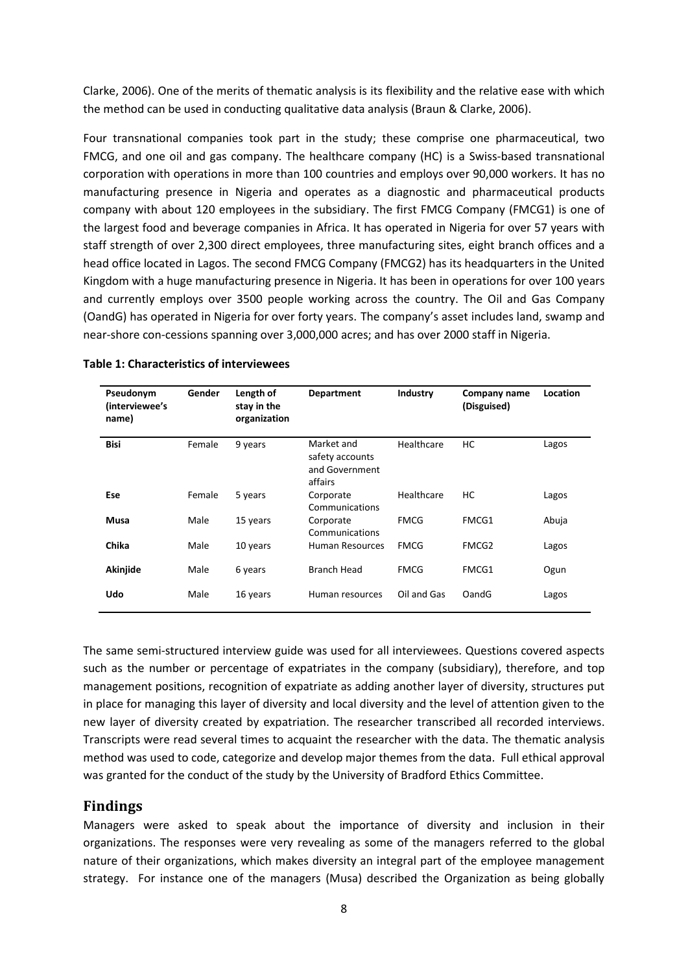Clarke, 2006). One of the merits of thematic analysis is its flexibility and the relative ease with which the method can be used in conducting qualitative data analysis (Braun & Clarke, 2006).

Four transnational companies took part in the study; these comprise one pharmaceutical, two FMCG, and one oil and gas company. The healthcare company (HC) is a Swiss-based transnational corporation with operations in more than 100 countries and employs over 90,000 workers. It has no manufacturing presence in Nigeria and operates as a diagnostic and pharmaceutical products company with about 120 employees in the subsidiary. The first FMCG Company (FMCG1) is one of the largest food and beverage companies in Africa. It has operated in Nigeria for over 57 years with staff strength of over 2,300 direct employees, three manufacturing sites, eight branch offices and a head office located in Lagos. The second FMCG Company (FMCG2) has its headquarters in the United Kingdom with a huge manufacturing presence in Nigeria. It has been in operations for over 100 years and currently employs over 3500 people working across the country. The Oil and Gas Company (OandG) has operated in Nigeria for over forty years. The company's asset includes land, swamp and near-shore con-cessions spanning over 3,000,000 acres; and has over 2000 staff in Nigeria.

| Pseudonym<br>(interviewee's<br>name) | Gender | Length of<br>stay in the<br>organization | <b>Department</b>                                          | <b>Industry</b> | Company name<br>(Disguised) | Location |
|--------------------------------------|--------|------------------------------------------|------------------------------------------------------------|-----------------|-----------------------------|----------|
| <b>Bisi</b>                          | Female | 9 years                                  | Market and<br>safety accounts<br>and Government<br>affairs | Healthcare      | НC                          | Lagos    |
| Ese                                  | Female | 5 years                                  | Corporate<br>Communications                                | Healthcare      | НC                          | Lagos    |
| Musa                                 | Male   | 15 years                                 | Corporate<br>Communications                                | <b>FMCG</b>     | FMCG1                       | Abuja    |
| Chika                                | Male   | 10 years                                 | <b>Human Resources</b>                                     | <b>FMCG</b>     | FMCG <sub>2</sub>           | Lagos    |
| Akinjide                             | Male   | 6 years                                  | <b>Branch Head</b>                                         | <b>FMCG</b>     | FMCG1                       | Ogun     |
| Udo                                  | Male   | 16 years                                 | Human resources                                            | Oil and Gas     | OandG                       | Lagos    |

#### **Table 1: Characteristics of interviewees**

The same semi-structured interview guide was used for all interviewees. Questions covered aspects such as the number or percentage of expatriates in the company (subsidiary), therefore, and top management positions, recognition of expatriate as adding another layer of diversity, structures put in place for managing this layer of diversity and local diversity and the level of attention given to the new layer of diversity created by expatriation. The researcher transcribed all recorded interviews. Transcripts were read several times to acquaint the researcher with the data. The thematic analysis method was used to code, categorize and develop major themes from the data. Full ethical approval was granted for the conduct of the study by the University of Bradford Ethics Committee.

### **Findings**

Managers were asked to speak about the importance of diversity and inclusion in their organizations. The responses were very revealing as some of the managers referred to the global nature of their organizations, which makes diversity an integral part of the employee management strategy. For instance one of the managers (Musa) described the Organization as being globally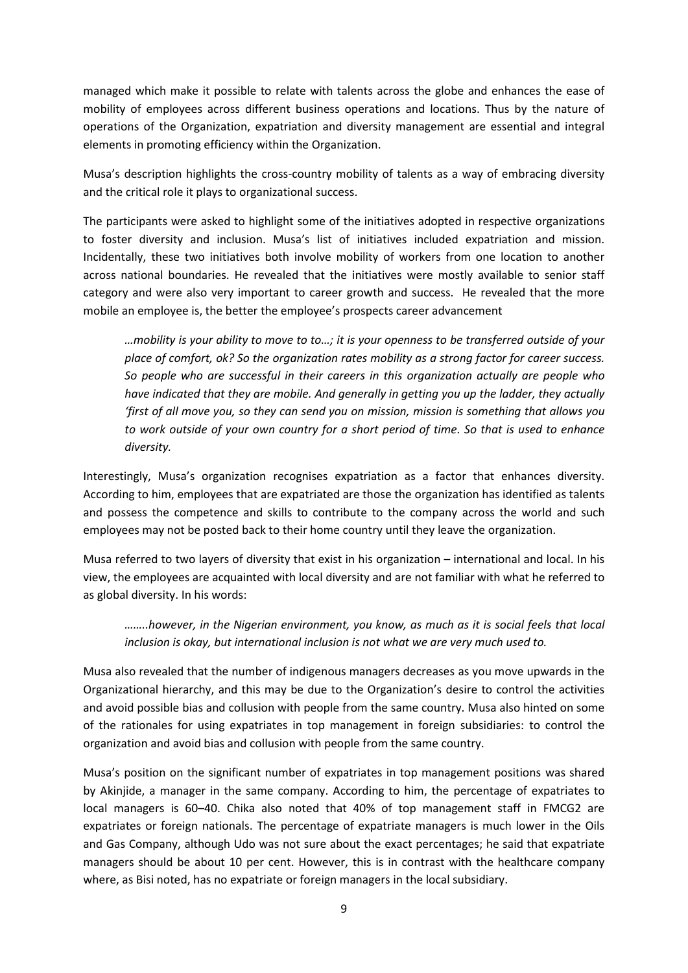managed which make it possible to relate with talents across the globe and enhances the ease of mobility of employees across different business operations and locations. Thus by the nature of operations of the Organization, expatriation and diversity management are essential and integral elements in promoting efficiency within the Organization.

Musa's description highlights the cross-country mobility of talents as a way of embracing diversity and the critical role it plays to organizational success.

The participants were asked to highlight some of the initiatives adopted in respective organizations to foster diversity and inclusion. Musa's list of initiatives included expatriation and mission. Incidentally, these two initiatives both involve mobility of workers from one location to another across national boundaries. He revealed that the initiatives were mostly available to senior staff category and were also very important to career growth and success. He revealed that the more mobile an employee is, the better the employee's prospects career advancement

*…mobility is your ability to move to to…; it is your openness to be transferred outside of your place of comfort, ok? So the organization rates mobility as a strong factor for career success. So people who are successful in their careers in this organization actually are people who have indicated that they are mobile. And generally in getting you up the ladder, they actually 'first of all move you, so they can send you on mission, mission is something that allows you to work outside of your own country for a short period of time. So that is used to enhance diversity.*

Interestingly, Musa's organization recognises expatriation as a factor that enhances diversity. According to him, employees that are expatriated are those the organization has identified as talents and possess the competence and skills to contribute to the company across the world and such employees may not be posted back to their home country until they leave the organization.

Musa referred to two layers of diversity that exist in his organization – international and local. In his view, the employees are acquainted with local diversity and are not familiar with what he referred to as global diversity. In his words:

*……..however, in the Nigerian environment, you know, as much as it is social feels that local inclusion is okay, but international inclusion is not what we are very much used to.*

Musa also revealed that the number of indigenous managers decreases as you move upwards in the Organizational hierarchy, and this may be due to the Organization's desire to control the activities and avoid possible bias and collusion with people from the same country. Musa also hinted on some of the rationales for using expatriates in top management in foreign subsidiaries: to control the organization and avoid bias and collusion with people from the same country.

Musa's position on the significant number of expatriates in top management positions was shared by Akinjide, a manager in the same company. According to him, the percentage of expatriates to local managers is 60–40. Chika also noted that 40% of top management staff in FMCG2 are expatriates or foreign nationals. The percentage of expatriate managers is much lower in the Oils and Gas Company, although Udo was not sure about the exact percentages; he said that expatriate managers should be about 10 per cent. However, this is in contrast with the healthcare company where, as Bisi noted, has no expatriate or foreign managers in the local subsidiary.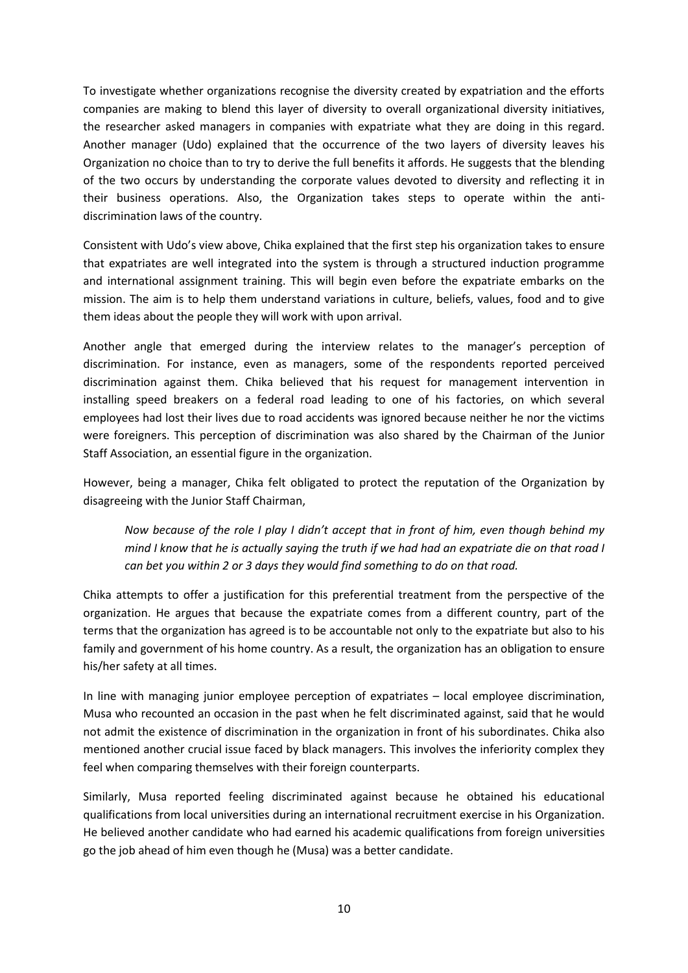To investigate whether organizations recognise the diversity created by expatriation and the efforts companies are making to blend this layer of diversity to overall organizational diversity initiatives, the researcher asked managers in companies with expatriate what they are doing in this regard. Another manager (Udo) explained that the occurrence of the two layers of diversity leaves his Organization no choice than to try to derive the full benefits it affords. He suggests that the blending of the two occurs by understanding the corporate values devoted to diversity and reflecting it in their business operations. Also, the Organization takes steps to operate within the antidiscrimination laws of the country.

Consistent with Udo's view above, Chika explained that the first step his organization takes to ensure that expatriates are well integrated into the system is through a structured induction programme and international assignment training. This will begin even before the expatriate embarks on the mission. The aim is to help them understand variations in culture, beliefs, values, food and to give them ideas about the people they will work with upon arrival.

Another angle that emerged during the interview relates to the manager's perception of discrimination. For instance, even as managers, some of the respondents reported perceived discrimination against them. Chika believed that his request for management intervention in installing speed breakers on a federal road leading to one of his factories, on which several employees had lost their lives due to road accidents was ignored because neither he nor the victims were foreigners. This perception of discrimination was also shared by the Chairman of the Junior Staff Association, an essential figure in the organization.

However, being a manager, Chika felt obligated to protect the reputation of the Organization by disagreeing with the Junior Staff Chairman,

*Now because of the role I play I didn't accept that in front of him, even though behind my mind I know that he is actually saying the truth if we had had an expatriate die on that road I can bet you within 2 or 3 days they would find something to do on that road.*

Chika attempts to offer a justification for this preferential treatment from the perspective of the organization. He argues that because the expatriate comes from a different country, part of the terms that the organization has agreed is to be accountable not only to the expatriate but also to his family and government of his home country. As a result, the organization has an obligation to ensure his/her safety at all times.

In line with managing junior employee perception of expatriates – local employee discrimination, Musa who recounted an occasion in the past when he felt discriminated against, said that he would not admit the existence of discrimination in the organization in front of his subordinates. Chika also mentioned another crucial issue faced by black managers. This involves the inferiority complex they feel when comparing themselves with their foreign counterparts.

Similarly, Musa reported feeling discriminated against because he obtained his educational qualifications from local universities during an international recruitment exercise in his Organization. He believed another candidate who had earned his academic qualifications from foreign universities go the job ahead of him even though he (Musa) was a better candidate.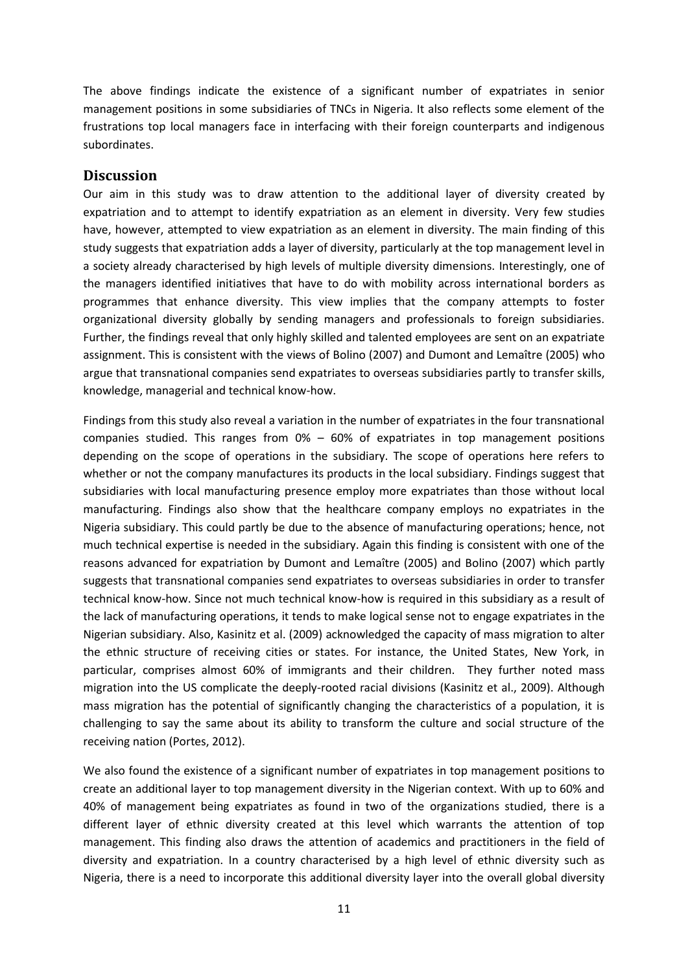The above findings indicate the existence of a significant number of expatriates in senior management positions in some subsidiaries of TNCs in Nigeria. It also reflects some element of the frustrations top local managers face in interfacing with their foreign counterparts and indigenous subordinates.

#### **Discussion**

Our aim in this study was to draw attention to the additional layer of diversity created by expatriation and to attempt to identify expatriation as an element in diversity. Very few studies have, however, attempted to view expatriation as an element in diversity. The main finding of this study suggests that expatriation adds a layer of diversity, particularly at the top management level in a society already characterised by high levels of multiple diversity dimensions. Interestingly, one of the managers identified initiatives that have to do with mobility across international borders as programmes that enhance diversity. This view implies that the company attempts to foster organizational diversity globally by sending managers and professionals to foreign subsidiaries. Further, the findings reveal that only highly skilled and talented employees are sent on an expatriate assignment. This is consistent with the views of Bolino (2007) and Dumont and Lemaître (2005) who argue that transnational companies send expatriates to overseas subsidiaries partly to transfer skills, knowledge, managerial and technical know-how.

Findings from this study also reveal a variation in the number of expatriates in the four transnational companies studied. This ranges from  $0\% - 60\%$  of expatriates in top management positions depending on the scope of operations in the subsidiary. The scope of operations here refers to whether or not the company manufactures its products in the local subsidiary. Findings suggest that subsidiaries with local manufacturing presence employ more expatriates than those without local manufacturing. Findings also show that the healthcare company employs no expatriates in the Nigeria subsidiary. This could partly be due to the absence of manufacturing operations; hence, not much technical expertise is needed in the subsidiary. Again this finding is consistent with one of the reasons advanced for expatriation by Dumont and Lemaître (2005) and Bolino (2007) which partly suggests that transnational companies send expatriates to overseas subsidiaries in order to transfer technical know-how. Since not much technical know-how is required in this subsidiary as a result of the lack of manufacturing operations, it tends to make logical sense not to engage expatriates in the Nigerian subsidiary. Also, Kasinitz et al. (2009) acknowledged the capacity of mass migration to alter the ethnic structure of receiving cities or states. For instance, the United States, New York, in particular, comprises almost 60% of immigrants and their children. They further noted mass migration into the US complicate the deeply-rooted racial divisions (Kasinitz et al., 2009). Although mass migration has the potential of significantly changing the characteristics of a population, it is challenging to say the same about its ability to transform the culture and social structure of the receiving nation (Portes, 2012).

We also found the existence of a significant number of expatriates in top management positions to create an additional layer to top management diversity in the Nigerian context. With up to 60% and 40% of management being expatriates as found in two of the organizations studied, there is a different layer of ethnic diversity created at this level which warrants the attention of top management. This finding also draws the attention of academics and practitioners in the field of diversity and expatriation. In a country characterised by a high level of ethnic diversity such as Nigeria, there is a need to incorporate this additional diversity layer into the overall global diversity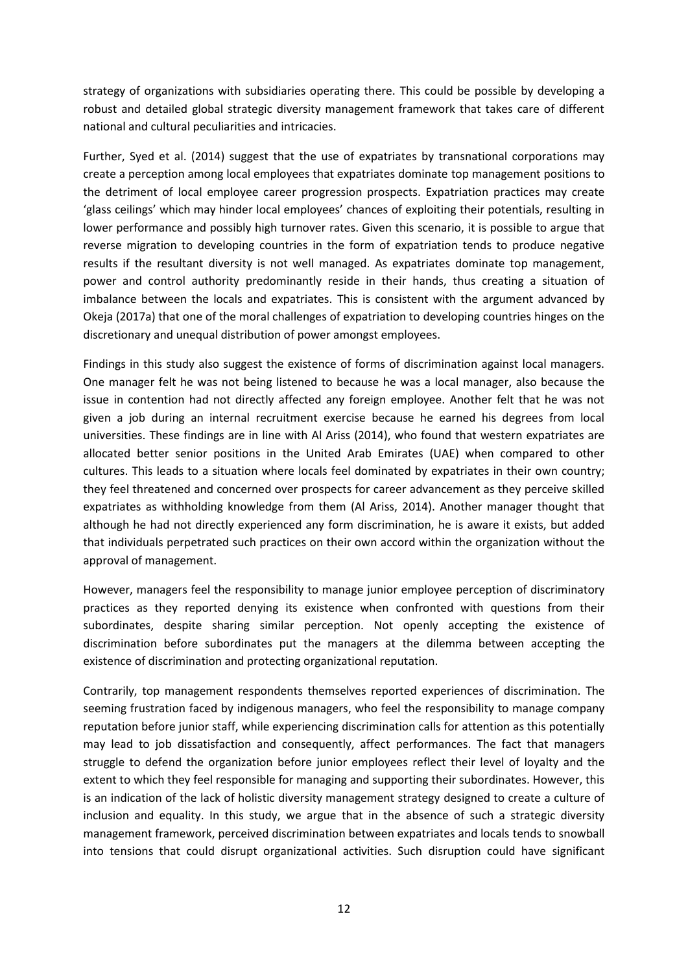strategy of organizations with subsidiaries operating there. This could be possible by developing a robust and detailed global strategic diversity management framework that takes care of different national and cultural peculiarities and intricacies.

Further, Syed et al. (2014) suggest that the use of expatriates by transnational corporations may create a perception among local employees that expatriates dominate top management positions to the detriment of local employee career progression prospects. Expatriation practices may create 'glass ceilings' which may hinder local employees' chances of exploiting their potentials, resulting in lower performance and possibly high turnover rates. Given this scenario, it is possible to argue that reverse migration to developing countries in the form of expatriation tends to produce negative results if the resultant diversity is not well managed. As expatriates dominate top management, power and control authority predominantly reside in their hands, thus creating a situation of imbalance between the locals and expatriates. This is consistent with the argument advanced by Okeja (2017a) that one of the moral challenges of expatriation to developing countries hinges on the discretionary and unequal distribution of power amongst employees.

Findings in this study also suggest the existence of forms of discrimination against local managers. One manager felt he was not being listened to because he was a local manager, also because the issue in contention had not directly affected any foreign employee. Another felt that he was not given a job during an internal recruitment exercise because he earned his degrees from local universities. These findings are in line with Al Ariss (2014), who found that western expatriates are allocated better senior positions in the United Arab Emirates (UAE) when compared to other cultures. This leads to a situation where locals feel dominated by expatriates in their own country; they feel threatened and concerned over prospects for career advancement as they perceive skilled expatriates as withholding knowledge from them (Al Ariss, 2014). Another manager thought that although he had not directly experienced any form discrimination, he is aware it exists, but added that individuals perpetrated such practices on their own accord within the organization without the approval of management.

However, managers feel the responsibility to manage junior employee perception of discriminatory practices as they reported denying its existence when confronted with questions from their subordinates, despite sharing similar perception. Not openly accepting the existence of discrimination before subordinates put the managers at the dilemma between accepting the existence of discrimination and protecting organizational reputation.

Contrarily, top management respondents themselves reported experiences of discrimination. The seeming frustration faced by indigenous managers, who feel the responsibility to manage company reputation before junior staff, while experiencing discrimination calls for attention as this potentially may lead to job dissatisfaction and consequently, affect performances. The fact that managers struggle to defend the organization before junior employees reflect their level of loyalty and the extent to which they feel responsible for managing and supporting their subordinates. However, this is an indication of the lack of holistic diversity management strategy designed to create a culture of inclusion and equality. In this study, we argue that in the absence of such a strategic diversity management framework, perceived discrimination between expatriates and locals tends to snowball into tensions that could disrupt organizational activities. Such disruption could have significant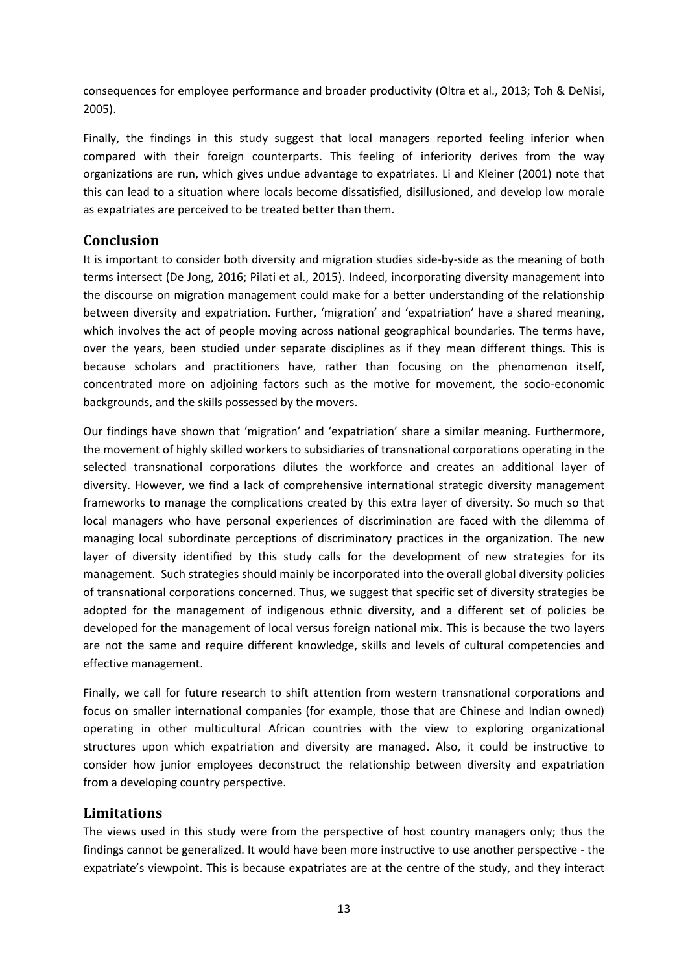consequences for employee performance and broader productivity (Oltra et al., 2013; Toh & DeNisi, 2005).

Finally, the findings in this study suggest that local managers reported feeling inferior when compared with their foreign counterparts. This feeling of inferiority derives from the way organizations are run, which gives undue advantage to expatriates. Li and Kleiner (2001) note that this can lead to a situation where locals become dissatisfied, disillusioned, and develop low morale as expatriates are perceived to be treated better than them.

# **Conclusion**

It is important to consider both diversity and migration studies side-by-side as the meaning of both terms intersect (De Jong, 2016; Pilati et al., 2015). Indeed, incorporating diversity management into the discourse on migration management could make for a better understanding of the relationship between diversity and expatriation. Further, 'migration' and 'expatriation' have a shared meaning, which involves the act of people moving across national geographical boundaries. The terms have, over the years, been studied under separate disciplines as if they mean different things. This is because scholars and practitioners have, rather than focusing on the phenomenon itself, concentrated more on adjoining factors such as the motive for movement, the socio-economic backgrounds, and the skills possessed by the movers.

Our findings have shown that 'migration' and 'expatriation' share a similar meaning. Furthermore, the movement of highly skilled workers to subsidiaries of transnational corporations operating in the selected transnational corporations dilutes the workforce and creates an additional layer of diversity. However, we find a lack of comprehensive international strategic diversity management frameworks to manage the complications created by this extra layer of diversity. So much so that local managers who have personal experiences of discrimination are faced with the dilemma of managing local subordinate perceptions of discriminatory practices in the organization. The new layer of diversity identified by this study calls for the development of new strategies for its management. Such strategies should mainly be incorporated into the overall global diversity policies of transnational corporations concerned. Thus, we suggest that specific set of diversity strategies be adopted for the management of indigenous ethnic diversity, and a different set of policies be developed for the management of local versus foreign national mix. This is because the two layers are not the same and require different knowledge, skills and levels of cultural competencies and effective management.

Finally, we call for future research to shift attention from western transnational corporations and focus on smaller international companies (for example, those that are Chinese and Indian owned) operating in other multicultural African countries with the view to exploring organizational structures upon which expatriation and diversity are managed. Also, it could be instructive to consider how junior employees deconstruct the relationship between diversity and expatriation from a developing country perspective.

# **Limitations**

The views used in this study were from the perspective of host country managers only; thus the findings cannot be generalized. It would have been more instructive to use another perspective - the expatriate's viewpoint. This is because expatriates are at the centre of the study, and they interact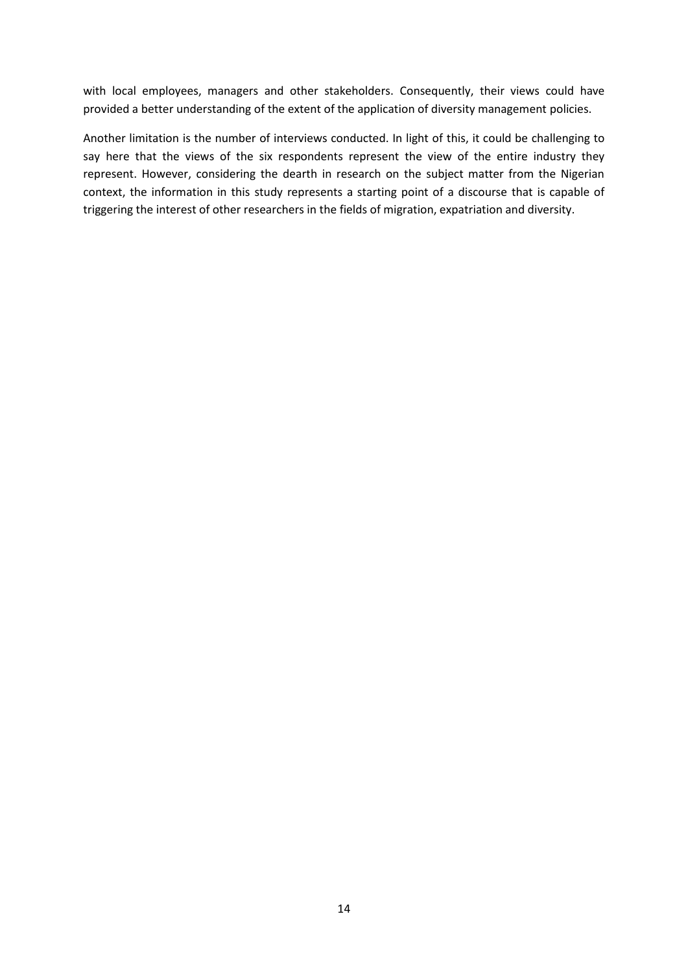with local employees, managers and other stakeholders. Consequently, their views could have provided a better understanding of the extent of the application of diversity management policies.

Another limitation is the number of interviews conducted. In light of this, it could be challenging to say here that the views of the six respondents represent the view of the entire industry they represent. However, considering the dearth in research on the subject matter from the Nigerian context, the information in this study represents a starting point of a discourse that is capable of triggering the interest of other researchers in the fields of migration, expatriation and diversity.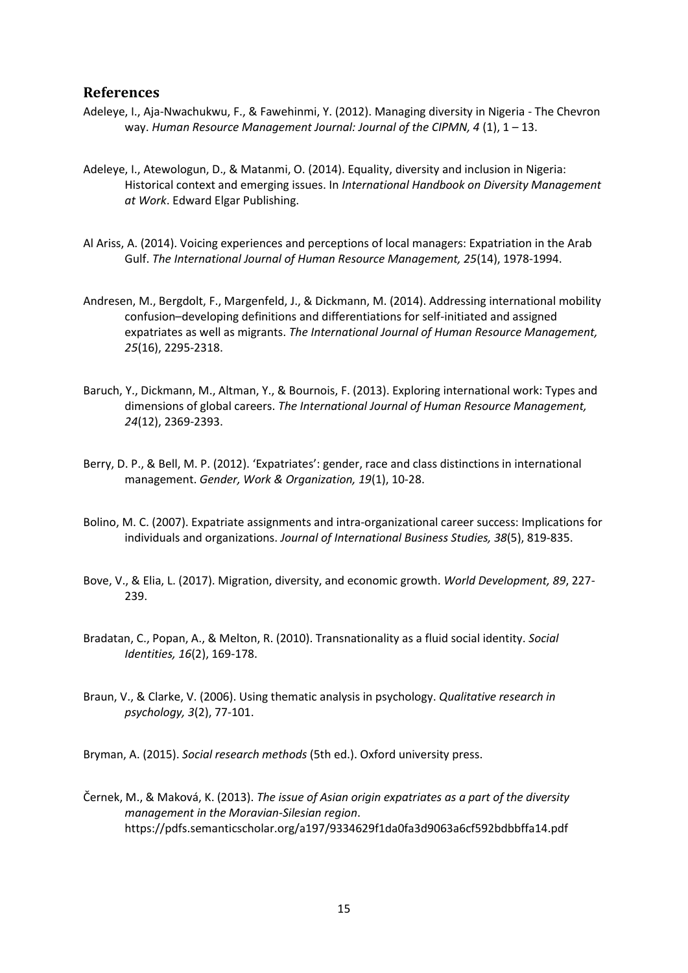#### **References**

- Adeleye, I., Aja-Nwachukwu, F., & Fawehinmi, Y. (2012). Managing diversity in Nigeria The Chevron way. *Human Resource Management Journal: Journal of the CIPMN, 4* (1), 1 – 13.
- Adeleye, I., Atewologun, D., & Matanmi, O. (2014). Equality, diversity and inclusion in Nigeria: Historical context and emerging issues. In *International Handbook on Diversity Management at Work*. Edward Elgar Publishing.
- Al Ariss, A. (2014). Voicing experiences and perceptions of local managers: Expatriation in the Arab Gulf. *The International Journal of Human Resource Management, 25*(14), 1978-1994.
- Andresen, M., Bergdolt, F., Margenfeld, J., & Dickmann, M. (2014). Addressing international mobility confusion–developing definitions and differentiations for self-initiated and assigned expatriates as well as migrants. *The International Journal of Human Resource Management, 25*(16), 2295-2318.
- Baruch, Y., Dickmann, M., Altman, Y., & Bournois, F. (2013). Exploring international work: Types and dimensions of global careers. *The International Journal of Human Resource Management, 24*(12), 2369-2393.
- Berry, D. P., & Bell, M. P. (2012). 'Expatriates': gender, race and class distinctions in international management. *Gender, Work & Organization, 19*(1), 10-28.
- Bolino, M. C. (2007). Expatriate assignments and intra-organizational career success: Implications for individuals and organizations. *Journal of International Business Studies, 38*(5), 819-835.
- Bove, V., & Elia, L. (2017). Migration, diversity, and economic growth. *World Development, 89*, 227- 239.
- Bradatan, C., Popan, A., & Melton, R. (2010). Transnationality as a fluid social identity. *Social Identities, 16*(2), 169-178.
- Braun, V., & Clarke, V. (2006). Using thematic analysis in psychology. *Qualitative research in psychology, 3*(2), 77-101.

Bryman, A. (2015). *Social research methods* (5th ed.). Oxford university press.

Černek, M., & Maková, K. (2013). *The issue of Asian origin expatriates as a part of the diversity management in the Moravian-Silesian region*. https://pdfs.semanticscholar.org/a197/9334629f1da0fa3d9063a6cf592bdbbffa14.pdf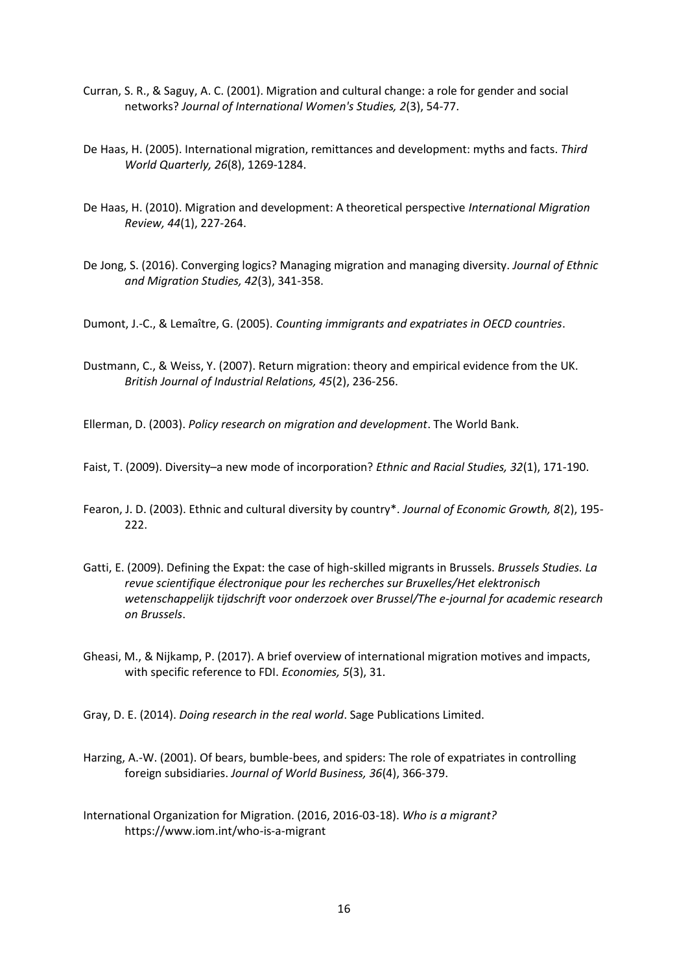- Curran, S. R., & Saguy, A. C. (2001). Migration and cultural change: a role for gender and social networks? *Journal of International Women's Studies, 2*(3), 54-77.
- De Haas, H. (2005). International migration, remittances and development: myths and facts. *Third World Quarterly, 26*(8), 1269-1284.
- De Haas, H. (2010). Migration and development: A theoretical perspective *International Migration Review, 44*(1), 227-264.
- De Jong, S. (2016). Converging logics? Managing migration and managing diversity. *Journal of Ethnic and Migration Studies, 42*(3), 341-358.

Dumont, J.-C., & Lemaître, G. (2005). *Counting immigrants and expatriates in OECD countries*.

Dustmann, C., & Weiss, Y. (2007). Return migration: theory and empirical evidence from the UK. *British Journal of Industrial Relations, 45*(2), 236-256.

Ellerman, D. (2003). *Policy research on migration and development*. The World Bank.

- Faist, T. (2009). Diversity–a new mode of incorporation? *Ethnic and Racial Studies, 32*(1), 171-190.
- Fearon, J. D. (2003). Ethnic and cultural diversity by country\*. *Journal of Economic Growth, 8*(2), 195- 222.
- Gatti, E. (2009). Defining the Expat: the case of high-skilled migrants in Brussels. *Brussels Studies. La revue scientifique électronique pour les recherches sur Bruxelles/Het elektronisch wetenschappelijk tijdschrift voor onderzoek over Brussel/The e-journal for academic research on Brussels*.
- Gheasi, M., & Nijkamp, P. (2017). A brief overview of international migration motives and impacts, with specific reference to FDI. *Economies, 5*(3), 31.

Gray, D. E. (2014). *Doing research in the real world*. Sage Publications Limited.

- Harzing, A.-W. (2001). Of bears, bumble-bees, and spiders: The role of expatriates in controlling foreign subsidiaries. *Journal of World Business, 36*(4), 366-379.
- International Organization for Migration. (2016, 2016-03-18). *Who is a migrant?* https://www.iom.int/who-is-a-migrant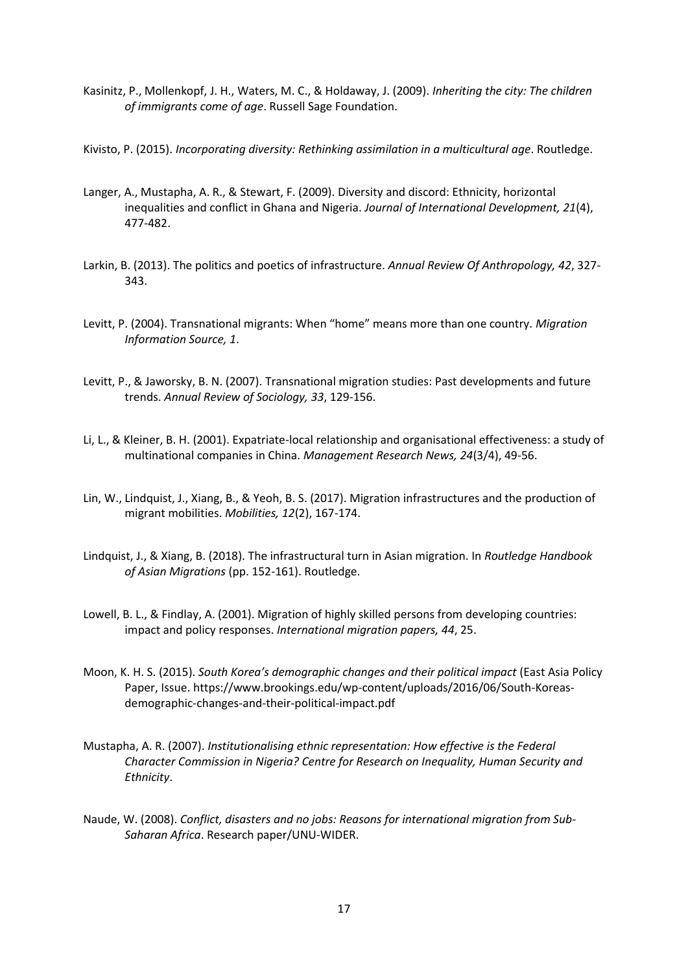- Kasinitz, P., Mollenkopf, J. H., Waters, M. C., & Holdaway, J. (2009). *Inheriting the city: The children of immigrants come of age*. Russell Sage Foundation.
- Kivisto, P. (2015). *Incorporating diversity: Rethinking assimilation in a multicultural age*. Routledge.
- Langer, A., Mustapha, A. R., & Stewart, F. (2009). Diversity and discord: Ethnicity, horizontal inequalities and conflict in Ghana and Nigeria. *Journal of International Development, 21*(4), 477-482.
- Larkin, B. (2013). The politics and poetics of infrastructure. *Annual Review Of Anthropology, 42*, 327- 343.
- Levitt, P. (2004). Transnational migrants: When "home" means more than one country. *Migration Information Source, 1*.
- Levitt, P., & Jaworsky, B. N. (2007). Transnational migration studies: Past developments and future trends. *Annual Review of Sociology, 33*, 129-156.
- Li, L., & Kleiner, B. H. (2001). Expatriate-local relationship and organisational effectiveness: a study of multinational companies in China. *Management Research News, 24*(3/4), 49-56.
- Lin, W., Lindquist, J., Xiang, B., & Yeoh, B. S. (2017). Migration infrastructures and the production of migrant mobilities. *Mobilities, 12*(2), 167-174.
- Lindquist, J., & Xiang, B. (2018). The infrastructural turn in Asian migration. In *Routledge Handbook of Asian Migrations* (pp. 152-161). Routledge.
- Lowell, B. L., & Findlay, A. (2001). Migration of highly skilled persons from developing countries: impact and policy responses. *International migration papers, 44*, 25.
- Moon, K. H. S. (2015). *South Korea's demographic changes and their political impact* (East Asia Policy Paper, Issue. https://www.brookings.edu/wp-content/uploads/2016/06/South-Koreasdemographic-changes-and-their-political-impact.pdf
- Mustapha, A. R. (2007). *Institutionalising ethnic representation: How effective is the Federal Character Commission in Nigeria? Centre for Research on Inequality, Human Security and Ethnicity*.
- Naude, W. (2008). *Conflict, disasters and no jobs: Reasons for international migration from Sub-Saharan Africa*. Research paper/UNU-WIDER.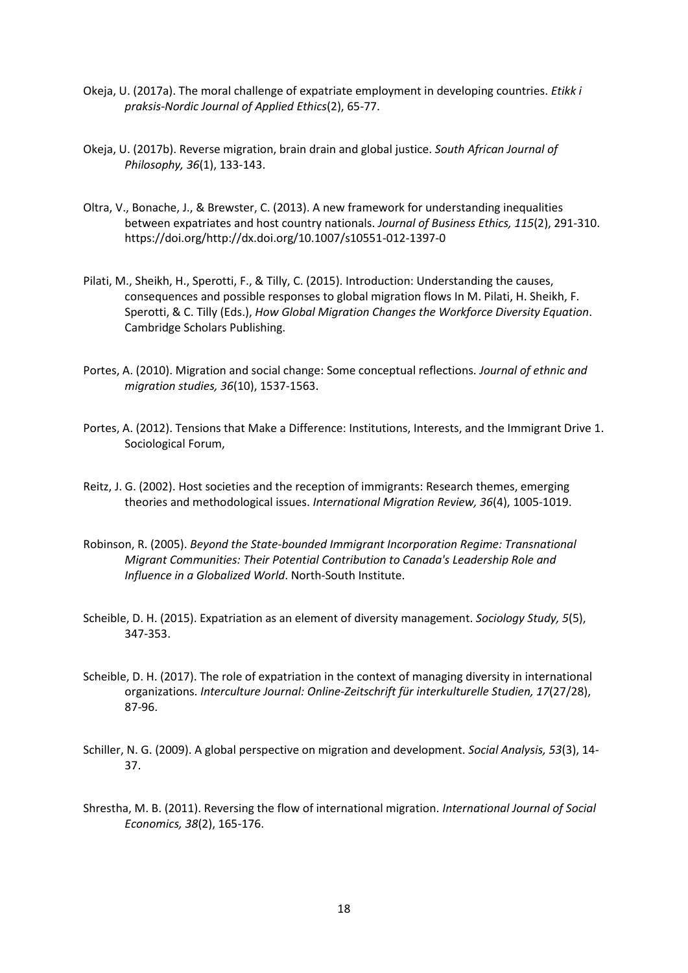- Okeja, U. (2017a). The moral challenge of expatriate employment in developing countries. *Etikk i praksis-Nordic Journal of Applied Ethics*(2), 65-77.
- Okeja, U. (2017b). Reverse migration, brain drain and global justice. *South African Journal of Philosophy, 36*(1), 133-143.
- Oltra, V., Bonache, J., & Brewster, C. (2013). A new framework for understanding inequalities between expatriates and host country nationals. *Journal of Business Ethics, 115*(2), 291-310. https://doi.org/http://dx.doi.org/10.1007/s10551-012-1397-0
- Pilati, M., Sheikh, H., Sperotti, F., & Tilly, C. (2015). Introduction: Understanding the causes, consequences and possible responses to global migration flows In M. Pilati, H. Sheikh, F. Sperotti, & C. Tilly (Eds.), *How Global Migration Changes the Workforce Diversity Equation*. Cambridge Scholars Publishing.
- Portes, A. (2010). Migration and social change: Some conceptual reflections. *Journal of ethnic and migration studies, 36*(10), 1537-1563.
- Portes, A. (2012). Tensions that Make a Difference: Institutions, Interests, and the Immigrant Drive 1. Sociological Forum,
- Reitz, J. G. (2002). Host societies and the reception of immigrants: Research themes, emerging theories and methodological issues. *International Migration Review, 36*(4), 1005-1019.
- Robinson, R. (2005). *Beyond the State-bounded Immigrant Incorporation Regime: Transnational Migrant Communities: Their Potential Contribution to Canada's Leadership Role and Influence in a Globalized World*. North-South Institute.
- Scheible, D. H. (2015). Expatriation as an element of diversity management. *Sociology Study, 5*(5), 347-353.
- Scheible, D. H. (2017). The role of expatriation in the context of managing diversity in international organizations. *Interculture Journal: Online-Zeitschrift für interkulturelle Studien, 17*(27/28), 87-96.
- Schiller, N. G. (2009). A global perspective on migration and development. *Social Analysis, 53*(3), 14- 37.
- Shrestha, M. B. (2011). Reversing the flow of international migration. *International Journal of Social Economics, 38*(2), 165-176.